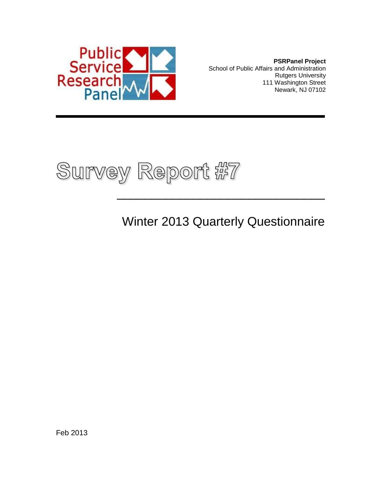

**PSRPanel Project** School of Public Affairs and Administration Rutgers University 111 Washington Street Newark, NJ 07102



# Winter 2013 Quarterly Questionnaire

 $\frac{1}{2}$  , and the set of the set of the set of the set of the set of the set of the set of the set of the set of the set of the set of the set of the set of the set of the set of the set of the set of the set of the set

Feb 2013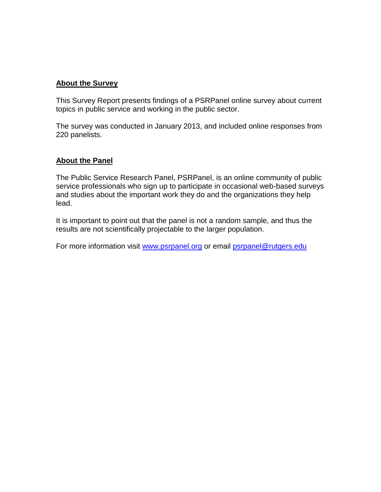#### **About the Survey**

This Survey Report presents findings of a PSRPanel online survey about current topics in public service and working in the public sector.

The survey was conducted in January 2013, and included online responses from 220 panelists.

#### **About the Panel**

The Public Service Research Panel, PSRPanel, is an online community of public service professionals who sign up to participate in occasional web-based surveys and studies about the important work they do and the organizations they help lead.

It is important to point out that the panel is not a random sample, and thus the results are not scientifically projectable to the larger population.

For more information visit [www.psrpanel.org](http://www.psrpanel.org/) or email [psrpanel@rutgers.edu](mailto:psrpanel@rutgers.edu)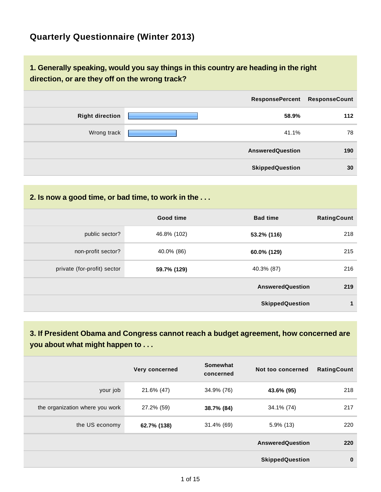## **Quarterly Questionnaire (Winter 2013)**

### **1. Generally speaking, would you say things in this country are heading in the right direction, or are they off on the wrong track?**

|                        | <b>ResponsePercent</b>  | <b>ResponseCount</b> |
|------------------------|-------------------------|----------------------|
| <b>Right direction</b> | 58.9%                   | 112                  |
| Wrong track            | 41.1%                   | 78                   |
|                        | <b>AnsweredQuestion</b> | 190                  |
|                        | <b>SkippedQuestion</b>  | 30                   |

### **2. Is now a good time, or bad time, to work in the . . .**

|                             | Good time   | <b>Bad time</b>         | <b>RatingCount</b> |
|-----------------------------|-------------|-------------------------|--------------------|
| public sector?              | 46.8% (102) | 53.2% (116)             | 218                |
| non-profit sector?          | 40.0% (86)  | 60.0% (129)             | 215                |
| private (for-profit) sector | 59.7% (129) | 40.3% (87)              | 216                |
|                             |             | <b>AnsweredQuestion</b> | 219                |
|                             |             | <b>SkippedQuestion</b>  |                    |

## **3. If President Obama and Congress cannot reach a budget agreement, how concerned are you about what might happen to . . .**

|                                 | Very concerned | Somewhat<br>concerned | Not too concerned       | <b>RatingCount</b> |
|---------------------------------|----------------|-----------------------|-------------------------|--------------------|
| your job                        | 21.6% (47)     | 34.9% (76)            | 43.6% (95)              | 218                |
| the organization where you work | 27.2% (59)     | 38.7% (84)            | 34.1% (74)              | 217                |
| the US economy                  | 62.7% (138)    | 31.4% (69)            | $5.9\%$ (13)            | 220                |
|                                 |                |                       | <b>AnsweredQuestion</b> | 220                |
|                                 |                |                       | <b>SkippedQuestion</b>  | $\mathbf 0$        |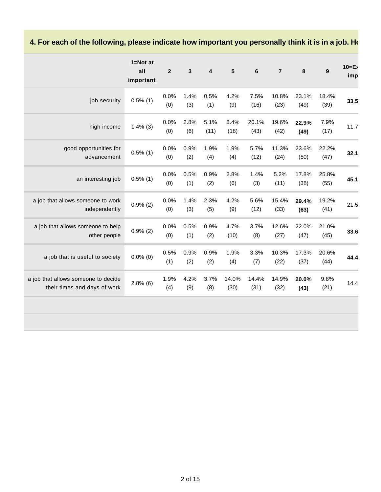## 4. For each of the following, please indicate how important you personally think it is in a job. How

|                                                                     | $1 = Not$ at<br>all<br>important | $\overline{2}$ | $\mathbf{3}$ | $\overline{\mathbf{4}}$ | $5\phantom{1}$ | 6             | $\overline{7}$ | 8             | $\boldsymbol{9}$ | $10 = Ex$<br>imp |
|---------------------------------------------------------------------|----------------------------------|----------------|--------------|-------------------------|----------------|---------------|----------------|---------------|------------------|------------------|
| job security                                                        | $0.5\%$ (1)                      | 0.0%<br>(0)    | 1.4%<br>(3)  | 0.5%<br>(1)             | 4.2%<br>(9)    | 7.5%<br>(16)  | 10.8%<br>(23)  | 23.1%<br>(49) | 18.4%<br>(39)    | 33.5             |
| high income                                                         | $1.4\%$ (3)                      | 0.0%<br>(0)    | 2.8%<br>(6)  | 5.1%<br>(11)            | 8.4%<br>(18)   | 20.1%<br>(43) | 19.6%<br>(42)  | 22.9%<br>(49) | 7.9%<br>(17)     | 11.7             |
| good opportunities for<br>advancement                               | $0.5\%$ (1)                      | 0.0%<br>(0)    | 0.9%<br>(2)  | 1.9%<br>(4)             | 1.9%<br>(4)    | 5.7%<br>(12)  | 11.3%<br>(24)  | 23.6%<br>(50) | 22.2%<br>(47)    | 32.1             |
| an interesting job                                                  | $0.5\%$ (1)                      | 0.0%<br>(0)    | 0.5%<br>(1)  | 0.9%<br>(2)             | 2.8%<br>(6)    | 1.4%<br>(3)   | 5.2%<br>(11)   | 17.8%<br>(38) | 25.8%<br>(55)    | 45.1             |
| a job that allows someone to work<br>independently                  | $0.9\%$ (2)                      | 0.0%<br>(0)    | 1.4%<br>(3)  | 2.3%<br>(5)             | 4.2%<br>(9)    | 5.6%<br>(12)  | 15.4%<br>(33)  | 29.4%<br>(63) | 19.2%<br>(41)    | 21.5             |
| a job that allows someone to help<br>other people                   | $0.9\%$ (2)                      | 0.0%<br>(0)    | 0.5%<br>(1)  | 0.9%<br>(2)             | 4.7%<br>(10)   | 3.7%<br>(8)   | 12.6%<br>(27)  | 22.0%<br>(47) | 21.0%<br>(45)    | 33.6             |
| a job that is useful to society                                     | $0.0\%$ (0)                      | 0.5%<br>(1)    | 0.9%<br>(2)  | 0.9%<br>(2)             | 1.9%<br>(4)    | 3.3%<br>(7)   | 10.3%<br>(22)  | 17.3%<br>(37) | 20.6%<br>(44)    | 44.4             |
| a job that allows someone to decide<br>their times and days of work | $2.8\%$ (6)                      | 1.9%<br>(4)    | 4.2%<br>(9)  | 3.7%<br>(8)             | 14.0%<br>(30)  | 14.4%<br>(31) | 14.9%<br>(32)  | 20.0%<br>(43) | 9.8%<br>(21)     | 14.4             |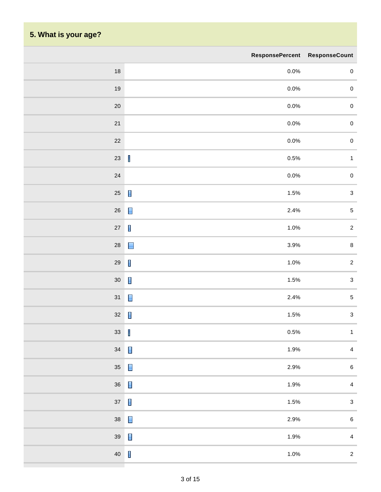## **5. What is your age?**

m

|        | ResponsePercent ResponseCount                                                                                                                                                                                                                                                                                                                                                               |                           |
|--------|---------------------------------------------------------------------------------------------------------------------------------------------------------------------------------------------------------------------------------------------------------------------------------------------------------------------------------------------------------------------------------------------|---------------------------|
| $18\,$ | $0.0\%$                                                                                                                                                                                                                                                                                                                                                                                     | $\pmb{0}$                 |
| $19$   | $0.0\%$                                                                                                                                                                                                                                                                                                                                                                                     | $\pmb{0}$                 |
| $20\,$ | $0.0\%$                                                                                                                                                                                                                                                                                                                                                                                     | $\pmb{0}$                 |
| 21     | 0.0%                                                                                                                                                                                                                                                                                                                                                                                        | $\pmb{0}$                 |
| $22\,$ | $0.0\%$                                                                                                                                                                                                                                                                                                                                                                                     | $\pmb{0}$                 |
| $23\,$ | $\begin{array}{c} \rule{0pt}{2.5ex} \rule{0pt}{2.5ex} \rule{0pt}{2.5ex} \rule{0pt}{2.5ex} \rule{0pt}{2.5ex} \rule{0pt}{2.5ex} \rule{0pt}{2.5ex} \rule{0pt}{2.5ex} \rule{0pt}{2.5ex} \rule{0pt}{2.5ex} \rule{0pt}{2.5ex} \rule{0pt}{2.5ex} \rule{0pt}{2.5ex} \rule{0pt}{2.5ex} \rule{0pt}{2.5ex} \rule{0pt}{2.5ex} \rule{0pt}{2.5ex} \rule{0pt}{2.5ex} \rule{0pt}{2.5ex} \rule{0$<br>$0.5\%$ | $\mathbf{1}$              |
| $24\,$ | 0.0%                                                                                                                                                                                                                                                                                                                                                                                        | $\pmb{0}$                 |
| $25\,$ | $\blacksquare$<br>1.5%                                                                                                                                                                                                                                                                                                                                                                      | $\ensuremath{\mathsf{3}}$ |
| $26\,$ | $\blacksquare$<br>2.4%                                                                                                                                                                                                                                                                                                                                                                      | $\sqrt{5}$                |
| $27\,$ | $\blacksquare$<br>1.0%                                                                                                                                                                                                                                                                                                                                                                      | $\sqrt{2}$                |
| $28\,$ | 3.9%<br>$\blacksquare$                                                                                                                                                                                                                                                                                                                                                                      | $\bf 8$                   |
| $29\,$ | $\blacksquare$<br>1.0%                                                                                                                                                                                                                                                                                                                                                                      | $\sqrt{2}$                |
| $30\,$ | $\blacksquare$<br>1.5%                                                                                                                                                                                                                                                                                                                                                                      | $\ensuremath{\mathsf{3}}$ |
| $31$   | $\blacksquare$<br>2.4%                                                                                                                                                                                                                                                                                                                                                                      | $\sqrt{5}$                |
| $32\,$ | $\blacksquare$<br>1.5%                                                                                                                                                                                                                                                                                                                                                                      | $\ensuremath{\mathsf{3}}$ |
| $33\,$ | I<br>$0.5\%$                                                                                                                                                                                                                                                                                                                                                                                | $\mathbf{1}$              |
| $34\,$ | $\blacksquare$<br>1.9%                                                                                                                                                                                                                                                                                                                                                                      | $\overline{4}$            |
| $35\,$ | $\blacksquare$<br>2.9%                                                                                                                                                                                                                                                                                                                                                                      | $\,6\,$                   |
| $36\,$ | $\blacksquare$<br>1.9%                                                                                                                                                                                                                                                                                                                                                                      | $\pmb{4}$                 |
| $37\,$ | $\blacksquare$<br>1.5%                                                                                                                                                                                                                                                                                                                                                                      | $\ensuremath{\mathsf{3}}$ |
| $38\,$ | $\blacksquare$<br>2.9%                                                                                                                                                                                                                                                                                                                                                                      | $\,6\,$                   |
| $39\,$ | $\blacksquare$<br>1.9%                                                                                                                                                                                                                                                                                                                                                                      | $\pmb{4}$                 |
| $40\,$ | $\blacksquare$<br>1.0%                                                                                                                                                                                                                                                                                                                                                                      | $\overline{2}$            |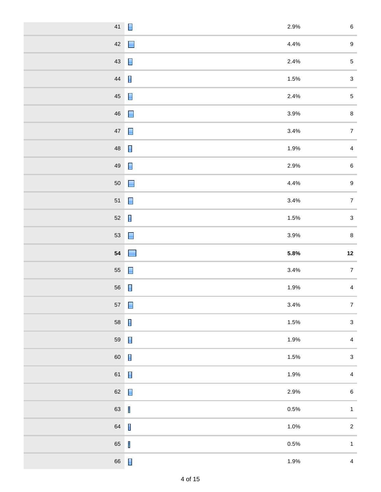| 41          | $\blacksquare$<br>2.9%                                                                                                                                                                                                                                                                                                                                                                      | $\,6\,$          |
|-------------|---------------------------------------------------------------------------------------------------------------------------------------------------------------------------------------------------------------------------------------------------------------------------------------------------------------------------------------------------------------------------------------------|------------------|
| $42\,$      | 4.4%                                                                                                                                                                                                                                                                                                                                                                                        | $\boldsymbol{9}$ |
| $43\,$      | 2.4%<br>$\blacksquare$                                                                                                                                                                                                                                                                                                                                                                      | $\sqrt{5}$       |
| $\bf 44$    | $\blacksquare$<br>1.5%                                                                                                                                                                                                                                                                                                                                                                      | $\mathbf{3}$     |
| $\sqrt{45}$ | $\blacksquare$<br>2.4%                                                                                                                                                                                                                                                                                                                                                                      | $\sqrt{5}$       |
| $\sqrt{46}$ | $\Box$<br>3.9%                                                                                                                                                                                                                                                                                                                                                                              | $\bf 8$          |
| $47\,$      | $\blacksquare$<br>3.4%                                                                                                                                                                                                                                                                                                                                                                      | $\boldsymbol{7}$ |
| ${\bf 48}$  | $\blacksquare$<br>1.9%                                                                                                                                                                                                                                                                                                                                                                      | $\overline{4}$   |
| 49          | $\blacksquare$<br>2.9%                                                                                                                                                                                                                                                                                                                                                                      | $\,6\,$          |
| $50\,$      | 4.4%<br>$\Box$                                                                                                                                                                                                                                                                                                                                                                              | $\boldsymbol{9}$ |
| $51\,$      | $\blacksquare$<br>3.4%                                                                                                                                                                                                                                                                                                                                                                      | $\overline{7}$   |
| $52\,$      | $\blacksquare$<br>1.5%                                                                                                                                                                                                                                                                                                                                                                      | $\mathbf{3}$     |
| 53          | $\blacksquare$<br>3.9%                                                                                                                                                                                                                                                                                                                                                                      | $\bf 8$          |
|             |                                                                                                                                                                                                                                                                                                                                                                                             |                  |
| ${\bf 54}$  | 5.8%<br>E                                                                                                                                                                                                                                                                                                                                                                                   | $12$             |
| ${\bf 55}$  | $\blacksquare$<br>3.4%                                                                                                                                                                                                                                                                                                                                                                      | $\overline{7}$   |
| 56          | $\blacksquare$<br>1.9%                                                                                                                                                                                                                                                                                                                                                                      | $\overline{4}$   |
| $57\,$      | $\blacksquare$<br>3.4%                                                                                                                                                                                                                                                                                                                                                                      | $\boldsymbol{7}$ |
| 58          | $\blacksquare$<br>1.5%                                                                                                                                                                                                                                                                                                                                                                      | $\mathbf{3}$     |
| 59          | $\blacksquare$<br>1.9%                                                                                                                                                                                                                                                                                                                                                                      | $\overline{4}$   |
| 60          | $\blacksquare$<br>1.5%                                                                                                                                                                                                                                                                                                                                                                      | $\mathbf{3}$     |
| 61          | $\blacksquare$<br>1.9%                                                                                                                                                                                                                                                                                                                                                                      | $\overline{4}$   |
| $62\,$      | $\blacksquare$<br>2.9%                                                                                                                                                                                                                                                                                                                                                                      | $\,6\,$          |
| 63          | $\begin{array}{c} \rule{0pt}{2.5ex} \rule{0pt}{2.5ex} \rule{0pt}{2.5ex} \rule{0pt}{2.5ex} \rule{0pt}{2.5ex} \rule{0pt}{2.5ex} \rule{0pt}{2.5ex} \rule{0pt}{2.5ex} \rule{0pt}{2.5ex} \rule{0pt}{2.5ex} \rule{0pt}{2.5ex} \rule{0pt}{2.5ex} \rule{0pt}{2.5ex} \rule{0pt}{2.5ex} \rule{0pt}{2.5ex} \rule{0pt}{2.5ex} \rule{0pt}{2.5ex} \rule{0pt}{2.5ex} \rule{0pt}{2.5ex} \rule{0$<br>$0.5\%$ | $\mathbf{1}$     |
| 64          | $\mathbf{I}$<br>1.0%                                                                                                                                                                                                                                                                                                                                                                        | $\overline{c}$   |
| 65          | J<br>$0.5\%$                                                                                                                                                                                                                                                                                                                                                                                | $\mathbf{1}$     |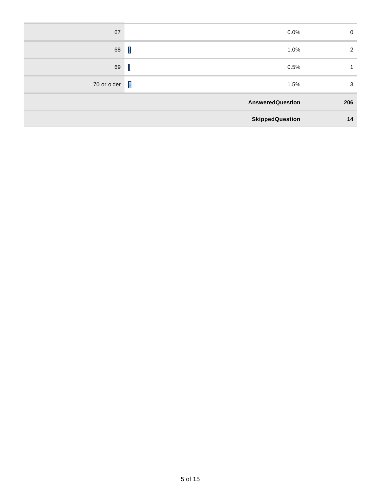| 67                 | 0.0%                    | 0   |
|--------------------|-------------------------|-----|
| 68                 | I<br>1.0%               | 2   |
| 69                 | $\mathbf I$<br>0.5%     |     |
| 70 or older $\Box$ | 1.5%                    | 3   |
|                    | <b>AnsweredQuestion</b> | 206 |
|                    | <b>SkippedQuestion</b>  | 14  |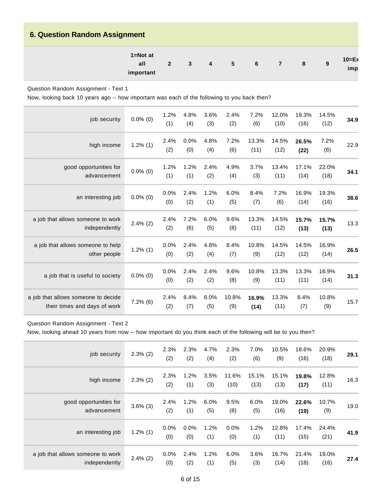### **6. Question Random Assignment**

| $1 = Not$ at<br>$10=E$<br>$\overline{\phantom{a}}$<br>all<br>6<br>$\overline{2}$<br>- 5<br>8<br>3<br>4<br>imp<br>important |
|----------------------------------------------------------------------------------------------------------------------------|
|----------------------------------------------------------------------------------------------------------------------------|

Question Random Assignment - Text 1

Now, looking back 10 years ago -- how important was each of the following to you back then?

| job security                                                        | $0.0\%$ (0) | 1.2%<br>(1) | 4.8%<br>(4) | 3.6%<br>(3) | 2.4%<br>(2)  | 7.2%<br>(6)   | 12.0%<br>(10) | 19.3%<br>(16) | 14.5%<br>(12) | 34.9 |
|---------------------------------------------------------------------|-------------|-------------|-------------|-------------|--------------|---------------|---------------|---------------|---------------|------|
| high income                                                         | $1.2\%$ (1) | 2.4%<br>(2) | 0.0%<br>(0) | 4.8%<br>(4) | 7.2%<br>(6)  | 13.3%<br>(11) | 14.5%<br>(12) | 26.5%<br>(22) | 7.2%<br>(6)   | 22.9 |
| good opportunities for<br>advancement                               | $0.0\%$ (0) | 1.2%<br>(1) | 1.2%<br>(1) | 2.4%<br>(2) | 4.9%<br>(4)  | 3.7%<br>(3)   | 13.4%<br>(11) | 17.1%<br>(14) | 22.0%<br>(18) | 34.1 |
| an interesting job                                                  | $0.0\%$ (0) | 0.0%<br>(0) | 2.4%<br>(2) | 1.2%<br>(1) | 6.0%<br>(5)  | 8.4%<br>(7)   | 7.2%<br>(6)   | 16.9%<br>(14) | 19.3%<br>(16) | 38.6 |
| a job that allows someone to work<br>independently                  | $2.4\%$ (2) | 2.4%<br>(2) | 7.2%<br>(6) | 6.0%<br>(5) | 9.6%<br>(8)  | 13.3%<br>(11) | 14.5%<br>(12) | 15.7%<br>(13) | 15.7%<br>(13) | 13.3 |
| a job that allows someone to help<br>other people                   | $1.2\%$ (1) | 0.0%<br>(0) | 2.4%<br>(2) | 4.8%<br>(4) | 8.4%<br>(7)  | 10.8%<br>(9)  | 14.5%<br>(12) | 14.5%<br>(12) | 16.9%<br>(14) | 26.5 |
| a job that is useful to society                                     | $0.0\%$ (0) | 0.0%<br>(0) | 2.4%<br>(2) | 2.4%<br>(2) | 9.6%<br>(8)  | 10.8%<br>(9)  | 13.3%<br>(11) | 13.3%<br>(11) | 16.9%<br>(14) | 31.3 |
| a job that allows someone to decide<br>their times and days of work | $7.2\%$ (6) | 2.4%<br>(2) | 8.4%<br>(7) | 6.0%<br>(5) | 10.8%<br>(9) | 16.9%<br>(14) | 13.3%<br>(11) | 8.4%<br>(7)   | 10.8%<br>(9)  | 15.7 |

#### Question Random Assignment - Text 2

Now, looking ahead 10 years from now -- how important do you think each of the following will be to you then?

| job security                                       | $2.3\%$ (2) | 2.3%<br>(2)    | 2.3%<br>(2) | 4.7%<br>(4)    | 2.3%<br>(2)    | 7.0%<br>(6)   | 10.5%<br>(9)  | 18.6%<br>(16) | 20.9%<br>(18) | 29.1 |
|----------------------------------------------------|-------------|----------------|-------------|----------------|----------------|---------------|---------------|---------------|---------------|------|
| high income                                        | $2.3\%$ (2) | 2.3%<br>(2)    | 1.2%<br>(1) | 3.5%<br>(3)    | 11.6%<br>(10)  | 15.1%<br>(13) | 15.1%<br>(13) | 19.8%<br>(17) | 12.8%<br>(11) | 16.3 |
| good opportunities for<br>advancement              | $3.6\%$ (3) | 2.4%<br>(2)    | 1.2%<br>(1) | $6.0\%$<br>(5) | 9.5%<br>(8)    | 6.0%<br>(5)   | 19.0%<br>(16) | 22.6%<br>(19) | 10.7%<br>(9)  | 19.0 |
| an interesting job                                 | $1.2\%$ (1) | $0.0\%$<br>(0) | 0.0%<br>(0) | 1.2%<br>(1)    | $0.0\%$<br>(0) | 1.2%<br>(1)   | 12.8%<br>(11) | 17.4%<br>(15) | 24.4%<br>(21) | 41.9 |
| a job that allows someone to work<br>independently | $2.4\%$ (2) | $0.0\%$<br>(0) | 2.4%<br>(2) | 1.2%<br>(1)    | 6.0%<br>(5)    | 3.6%<br>(3)   | 16.7%<br>(14) | 21.4%<br>(18) | 19.0%<br>(16) | 27.4 |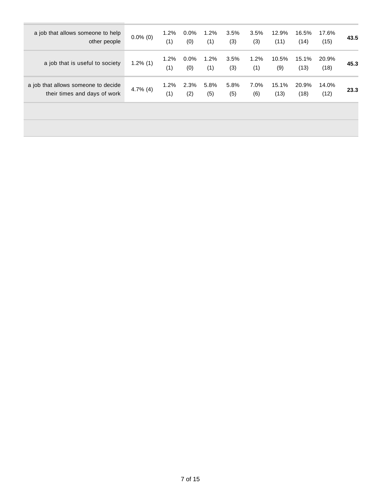| a job that allows someone to help<br>other people                   | $0.0\%$ (0) | $1.2\%$<br>(1) | $0.0\%$<br>(0) | $1.2\%$<br>(1) | 3.5%<br>(3) | 3.5%<br>(3) | 12.9%<br>(11) | 16.5%<br>(14) | 17.6%<br>(15) | 43.5 |
|---------------------------------------------------------------------|-------------|----------------|----------------|----------------|-------------|-------------|---------------|---------------|---------------|------|
| a job that is useful to society                                     | $1.2\%$ (1) | 1.2%<br>(1)    | $0.0\%$<br>(0) | 1.2%<br>(1)    | 3.5%<br>(3) | 1.2%<br>(1) | 10.5%<br>(9)  | 15.1%<br>(13) | 20.9%<br>(18) | 45.3 |
| a job that allows someone to decide<br>their times and days of work | 4.7% $(4)$  | 1.2%<br>(1)    | 2.3%<br>(2)    | 5.8%<br>(5)    | 5.8%<br>(5) | 7.0%<br>(6) | 15.1%<br>(13) | 20.9%<br>(18) | 14.0%<br>(12) | 23.3 |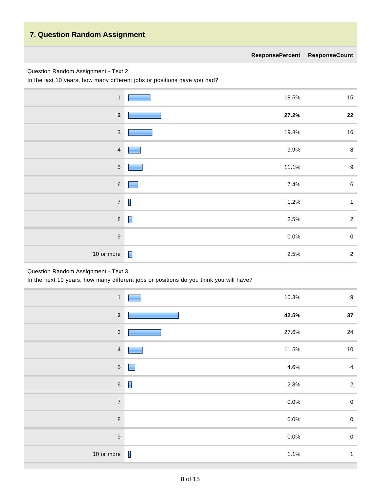### **7. Question Random Assignment**

#### Question Random Assignment - Text 2

In the last 10 years, how many different jobs or positions have you had?

| $\mathbf{1}$            | 18.5%                   | $15\,$           |
|-------------------------|-------------------------|------------------|
| $\overline{\mathbf{2}}$ | 27.2%                   | ${\bf 22}$       |
| $\mathbf{3}$            | 19.8%                   | 16               |
| $\overline{4}$          | 9.9%                    | $\bf 8$          |
| $\sqrt{5}$              | 11.1%                   | $\boldsymbol{9}$ |
| $\,6\,$                 | 7.4%<br><b>Contract</b> | $\,6\,$          |
| $\overline{7}$          | $\blacksquare$<br>1.2%  | $\mathbf{1}$     |
| $\,8\,$                 | 2.5%                    | $\overline{2}$   |
| $\boldsymbol{9}$        | 0.0%                    | $\pmb{0}$        |
| 10 or more              | 2.5%                    | $\overline{2}$   |

#### Question Random Assignment - Text 3

In the next 10 years, how many different jobs or positions do you think you will have?

| $\mathbf{1}$            | 10.3%                  | $\boldsymbol{9}$ |
|-------------------------|------------------------|------------------|
| $\overline{\mathbf{2}}$ | 42.5%                  | 37               |
| $\sqrt{3}$              | 27.6%                  | 24               |
| $\overline{4}$          | 11.5%                  | 10               |
| $\sqrt{5}$              | 4.6%                   | $\overline{4}$   |
| $\,$ 6 $\,$             | $\blacksquare$<br>2.3% | $\overline{2}$   |
| $\overline{7}$          | 0.0%                   | $\mathbf 0$      |
| $\boldsymbol{8}$        | 0.0%                   | $\mathbf 0$      |
| $\overline{9}$          | 0.0%                   | $\mathbf 0$      |
| 10 or more              | $\blacksquare$<br>1.1% | $\mathbf{1}$     |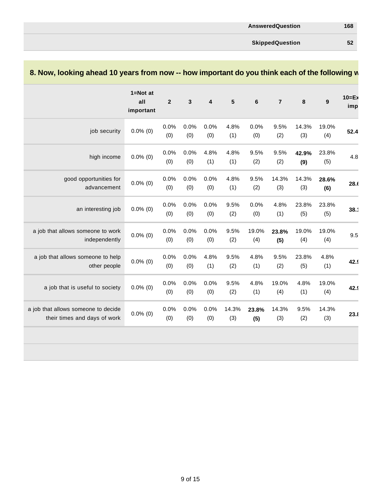**SkippedQuestion 52**

|                                                                     | $1 = Not$ at<br>all<br>important | $\mathbf{2}$ | $\overline{3}$ | 4           | $5\phantom{1}$ | $6\phantom{1}6$ | $\overline{7}$ | 8            | $\mathbf{9}$ | $10 = Ex$<br>imp |
|---------------------------------------------------------------------|----------------------------------|--------------|----------------|-------------|----------------|-----------------|----------------|--------------|--------------|------------------|
| job security                                                        | $0.0\%$ (0)                      | 0.0%<br>(0)  | 0.0%<br>(0)    | 0.0%<br>(0) | 4.8%<br>(1)    | 0.0%<br>(0)     | 9.5%<br>(2)    | 14.3%<br>(3) | 19.0%<br>(4) | 52.4             |
| high income                                                         | $0.0\%$ (0)                      | 0.0%<br>(0)  | 0.0%<br>(0)    | 4.8%<br>(1) | 4.8%<br>(1)    | 9.5%<br>(2)     | 9.5%<br>(2)    | 42.9%<br>(9) | 23.8%<br>(5) | 4.8              |
| good opportunities for<br>advancement                               | $0.0\%$ (0)                      | 0.0%<br>(0)  | 0.0%<br>(0)    | 0.0%<br>(0) | 4.8%<br>(1)    | 9.5%<br>(2)     | 14.3%<br>(3)   | 14.3%<br>(3) | 28.6%<br>(6) | 28.0             |
| an interesting job                                                  | $0.0\%$ (0)                      | 0.0%<br>(0)  | 0.0%<br>(0)    | 0.0%<br>(0) | 9.5%<br>(2)    | 0.0%<br>(0)     | 4.8%<br>(1)    | 23.8%<br>(5) | 23.8%<br>(5) | 38.1             |
| a job that allows someone to work<br>independently                  | $0.0\%$ (0)                      | 0.0%<br>(0)  | 0.0%<br>(0)    | 0.0%<br>(0) | 9.5%<br>(2)    | 19.0%<br>(4)    | 23.8%<br>(5)   | 19.0%<br>(4) | 19.0%<br>(4) | 9.5              |
| a job that allows someone to help<br>other people                   | $0.0\%$ (0)                      | 0.0%<br>(0)  | 0.0%<br>(0)    | 4.8%<br>(1) | 9.5%<br>(2)    | 4.8%<br>(1)     | 9.5%<br>(2)    | 23.8%<br>(5) | 4.8%<br>(1)  | 42.9             |
| a job that is useful to society                                     | $0.0\%$ (0)                      | 0.0%<br>(0)  | 0.0%<br>(0)    | 0.0%<br>(0) | 9.5%<br>(2)    | 4.8%<br>(1)     | 19.0%<br>(4)   | 4.8%<br>(1)  | 19.0%<br>(4) | 42.9             |
| a job that allows someone to decide<br>their times and days of work | $0.0\%$ (0)                      | 0.0%<br>(0)  | 0.0%<br>(0)    | 0.0%<br>(0) | 14.3%<br>(3)   | 23.8%<br>(5)    | 14.3%<br>(3)   | 9.5%<br>(2)  | 14.3%<br>(3) | 23.8             |

### **8. Now, looking ahead 10 years from now -- how important do you think each of the following will be to you then in the set of the following will be the set of the set of the following will be the set of your then in the s**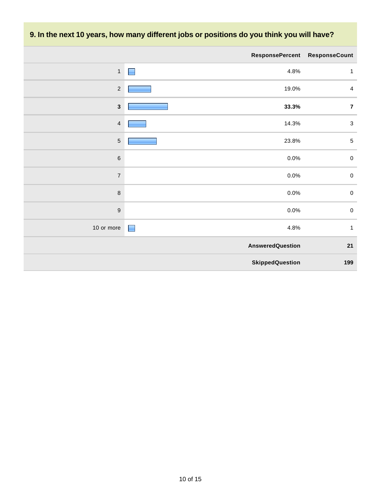## **9. In the next 10 years, how many different jobs or positions do you think you will have?**

|                  | <b>ResponsePercent</b>  | <b>ResponseCount</b> |
|------------------|-------------------------|----------------------|
| $\mathbf{1}$     | 4.8%                    | $\mathbf{1}$         |
| $\sqrt{2}$       | 19.0%                   | $\overline{4}$       |
| $\mathbf{3}$     | 33.3%                   | $\overline{7}$       |
| $\overline{4}$   | 14.3%                   | $\sqrt{3}$           |
| $\sqrt{5}$       | 23.8%                   | $\sqrt{5}$           |
| $\,6$            | 0.0%                    | $\mathsf 0$          |
| $\overline{7}$   | $0.0\%$                 | $\pmb{0}$            |
| $\,8\,$          | $0.0\%$                 | $\pmb{0}$            |
| $\boldsymbol{9}$ | $0.0\%$                 | $\pmb{0}$            |
| 10 or more       | 4.8%<br>$\blacksquare$  | $\mathbf{1}$         |
|                  | <b>AnsweredQuestion</b> | 21                   |
|                  | <b>SkippedQuestion</b>  | 199                  |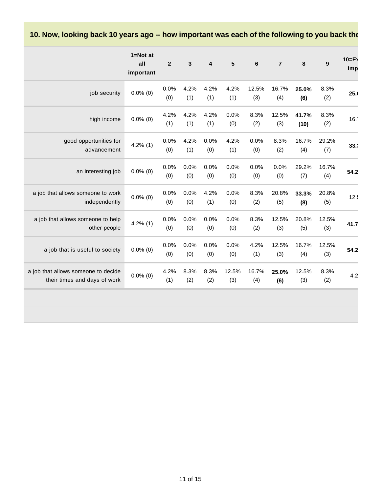10. Now, looking back 10 years ago -- how important was each of the following to you back the

|                                                                     | $1 = Not$ at<br>all<br>important | $\overline{2}$ | $\mathbf{3}$ | 4           | $5\phantom{1}$ | 6            | $\overline{7}$ | 8             | $\boldsymbol{9}$ | $10=E$<br>imp |
|---------------------------------------------------------------------|----------------------------------|----------------|--------------|-------------|----------------|--------------|----------------|---------------|------------------|---------------|
| job security                                                        | $0.0\%$ (0)                      | 0.0%<br>(0)    | 4.2%<br>(1)  | 4.2%<br>(1) | 4.2%<br>(1)    | 12.5%<br>(3) | 16.7%<br>(4)   | 25.0%<br>(6)  | 8.3%<br>(2)      | 25.0          |
| high income                                                         | $0.0\%$ (0)                      | 4.2%<br>(1)    | 4.2%<br>(1)  | 4.2%<br>(1) | 0.0%<br>(0)    | 8.3%<br>(2)  | 12.5%<br>(3)   | 41.7%<br>(10) | 8.3%<br>(2)      | 16.7          |
| good opportunities for<br>advancement                               | $4.2\%$ (1)                      | 0.0%<br>(0)    | 4.2%<br>(1)  | 0.0%<br>(0) | 4.2%<br>(1)    | 0.0%<br>(0)  | 8.3%<br>(2)    | 16.7%<br>(4)  | 29.2%<br>(7)     | 33.3          |
| an interesting job                                                  | $0.0\%$ (0)                      | 0.0%<br>(0)    | 0.0%<br>(0)  | 0.0%<br>(0) | 0.0%<br>(0)    | 0.0%<br>(0)  | 0.0%<br>(0)    | 29.2%<br>(7)  | 16.7%<br>(4)     | 54.2          |
| a job that allows someone to work<br>independently                  | $0.0\%$ (0)                      | 0.0%<br>(0)    | 0.0%<br>(0)  | 4.2%<br>(1) | 0.0%<br>(0)    | 8.3%<br>(2)  | 20.8%<br>(5)   | 33.3%<br>(8)  | 20.8%<br>(5)     | 12.5          |
| a job that allows someone to help<br>other people                   | $4.2\%$ (1)                      | 0.0%<br>(0)    | 0.0%<br>(0)  | 0.0%<br>(0) | 0.0%<br>(0)    | 8.3%<br>(2)  | 12.5%<br>(3)   | 20.8%<br>(5)  | 12.5%<br>(3)     | 41.7          |
| a job that is useful to society                                     | $0.0\%$ (0)                      | 0.0%<br>(0)    | 0.0%<br>(0)  | 0.0%<br>(0) | 0.0%<br>(0)    | 4.2%<br>(1)  | 12.5%<br>(3)   | 16.7%<br>(4)  | 12.5%<br>(3)     | 54.2          |
| a job that allows someone to decide<br>their times and days of work | $0.0\%$ (0)                      | 4.2%<br>(1)    | 8.3%<br>(2)  | 8.3%<br>(2) | 12.5%<br>(3)   | 16.7%<br>(4) | 25.0%<br>(6)   | 12.5%<br>(3)  | 8.3%<br>(2)      | 4.2           |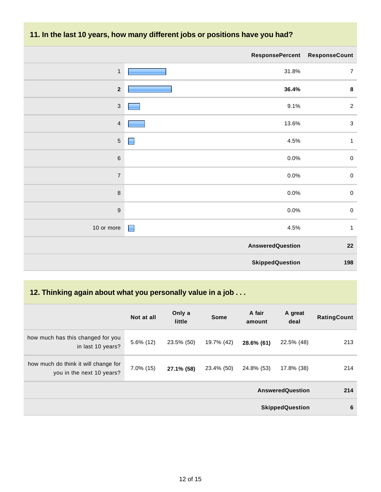### **11. In the last 10 years, how many different jobs or positions have you had?**

|                          | ResponsePercent ResponseCount |                |
|--------------------------|-------------------------------|----------------|
| $\mathbf{1}$             | 31.8%                         | $\overline{7}$ |
| $\overline{\mathbf{2}}$  | 36.4%                         | $\pmb{8}$      |
| $\sqrt{3}$               | 9.1%                          | $\sqrt{2}$     |
| $\overline{4}$           | 13.6%                         | $\sqrt{3}$     |
| $\sqrt{5}$               | 4.5%<br>▉                     | $\mathbf{1}$   |
| $\,6$                    | 0.0%                          | $\pmb{0}$      |
| $\overline{\mathcal{I}}$ | 0.0%                          | $\pmb{0}$      |
| $\,8\,$                  | 0.0%                          | $\pmb{0}$      |
| $\boldsymbol{9}$         | 0.0%                          | $\pmb{0}$      |
| 10 or more               | $\blacksquare$<br>4.5%        | $\mathbf{1}$   |
|                          | <b>AnsweredQuestion</b>       | ${\bf 22}$     |
|                          | <b>SkippedQuestion</b>        | 198            |

## **12. Thinking again about what you personally value in a job . . .**

|                                                                   | Not at all   | Only a<br>little | <b>Some</b> | A fair<br>amount | A great<br>deal         | <b>RatingCount</b> |
|-------------------------------------------------------------------|--------------|------------------|-------------|------------------|-------------------------|--------------------|
| how much has this changed for you<br>in last 10 years?            | $5.6\%$ (12) | 23.5% (50)       | 19.7% (42)  | 28.6% (61)       | 22.5% (48)              | 213                |
| how much do think it will change for<br>you in the next 10 years? | $7.0\%$ (15) | 27.1% (58)       | 23.4% (50)  | 24.8% (53)       | 17.8% (38)              | 214                |
|                                                                   |              |                  |             |                  | <b>AnsweredQuestion</b> | 214                |
|                                                                   |              |                  |             |                  | <b>SkippedQuestion</b>  | 6                  |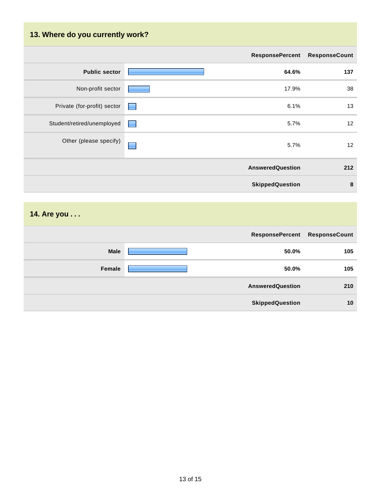## **13. Where do you currently work?**

|                             |                  | <b>ResponsePercent</b>  | <b>ResponseCount</b> |
|-----------------------------|------------------|-------------------------|----------------------|
| <b>Public sector</b>        |                  | 64.6%                   | 137                  |
| Non-profit sector           |                  | 17.9%                   | 38                   |
| Private (for-profit) sector | <b>First</b>     | 6.1%                    | 13                   |
| Student/retired/unemployed  | <b>Formation</b> | 5.7%                    | 12                   |
| Other (please specify)      |                  | 5.7%                    | 12                   |
|                             |                  | <b>AnsweredQuestion</b> | 212                  |
|                             |                  | <b>SkippedQuestion</b>  | 8                    |

## **14. Are you . . .**

|             | <b>ResponsePercent</b>  | <b>ResponseCount</b> |
|-------------|-------------------------|----------------------|
| <b>Male</b> | 50.0%                   | 105                  |
| Female      | 50.0%                   | 105                  |
|             | <b>AnsweredQuestion</b> | 210                  |
|             | <b>SkippedQuestion</b>  | 10                   |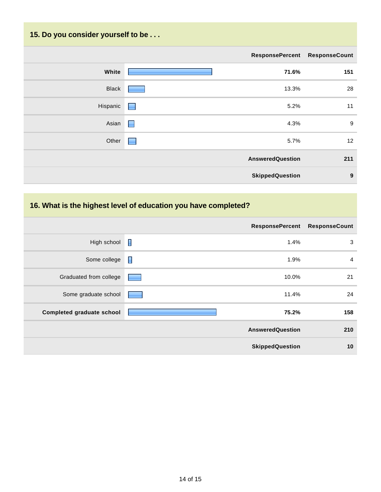## **15. Do you consider yourself to be . . .**

|              | ResponsePercent ResponseCount |     |
|--------------|-------------------------------|-----|
| White        | 71.6%                         | 151 |
| <b>Black</b> | 13.3%                         | 28  |
| Hispanic     | 5.2%<br><b>Report</b>         | 11  |
| Asian        | 4.3%<br><b>Contract</b>       | $9$ |
| Other        | 5.7%<br><b>Form</b>           | 12  |
|              | <b>AnsweredQuestion</b>       | 211 |
|              | <b>SkippedQuestion</b>        | 9   |

## **16. What is the highest level of education you have completed?**

|                                  |                | <b>ResponsePercent</b>  | <b>ResponseCount</b> |
|----------------------------------|----------------|-------------------------|----------------------|
| High school                      | I              | 1.4%                    | 3                    |
| Some college                     | $\blacksquare$ | 1.9%                    | $\overline{4}$       |
| Graduated from college           |                | 10.0%                   | 21                   |
| Some graduate school             |                | 11.4%                   | 24                   |
| <b>Completed graduate school</b> |                | 75.2%                   | 158                  |
|                                  |                | <b>AnsweredQuestion</b> | 210                  |
|                                  |                | <b>SkippedQuestion</b>  | 10                   |